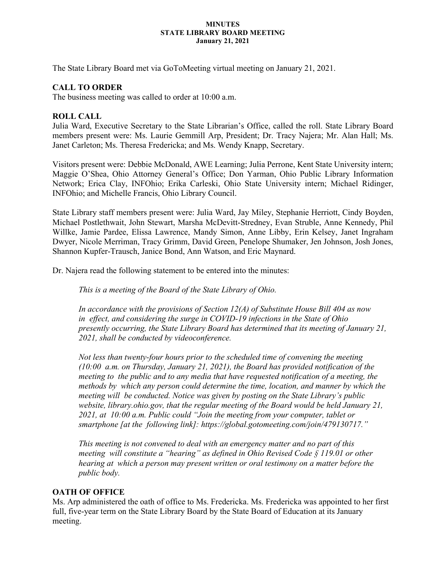#### **MINUTES STATE LIBRARY BOARD MEETING January 21, 2021**

The State Library Board met via GoToMeeting virtual meeting on January 21, 2021.

## **CALL TO ORDER**

The business meeting was called to order at 10:00 a.m.

# **ROLL CALL**

Julia Ward, Executive Secretary to the State Librarian's Office, called the roll. State Library Board members present were: Ms. Laurie Gemmill Arp, President; Dr. Tracy Najera; Mr. Alan Hall; Ms. Janet Carleton; Ms. Theresa Fredericka; and Ms. Wendy Knapp, Secretary.

Visitors present were: Debbie McDonald, AWE Learning; Julia Perrone, Kent State University intern; Maggie O'Shea, Ohio Attorney General's Office; Don Yarman, Ohio Public Library Information Network; Erica Clay, INFOhio; Erika Carleski, Ohio State University intern; Michael Ridinger, INFOhio; and Michelle Francis, Ohio Library Council.

State Library staff members present were: Julia Ward, Jay Miley, Stephanie Herriott, Cindy Boyden, Michael Postlethwait, John Stewart, Marsha McDevitt-Stredney, Evan Struble, Anne Kennedy, Phil Willke, Jamie Pardee, Elissa Lawrence, Mandy Simon, Anne Libby, Erin Kelsey, Janet Ingraham Dwyer, Nicole Merriman, Tracy Grimm, David Green, Penelope Shumaker, Jen Johnson, Josh Jones, Shannon Kupfer-Trausch, Janice Bond, Ann Watson, and Eric Maynard.

Dr. Najera read the following statement to be entered into the minutes:

*This is a meeting of the Board of the State Library of Ohio.*

*In accordance with the provisions of Section 12(A) of Substitute House Bill 404 as now in effect, and considering the surge in COVID-19 infections in the State of Ohio presently occurring, the State Library Board has determined that its meeting of January 21, 2021, shall be conducted by videoconference.* 

*Not less than twenty-four hours prior to the scheduled time of convening the meeting (10:00 a.m. on Thursday, January 21, 2021), the Board has provided notification of the meeting to the public and to any media that have requested notification of a meeting, the methods by which any person could determine the time, location, and manner by which the meeting will be conducted. Notice was given by posting on the State Library's public website, library.ohio.gov, that the regular meeting of the Board would be held January 21, 2021, at 10:00 a.m. Public could "Join the meeting from your computer, tablet or smartphone [at the following link]: https://global.gotomeeting.com/join/479130717."*

*This meeting is not convened to deal with an emergency matter and no part of this meeting will constitute a "hearing" as defined in Ohio Revised Code § 119.01 or other hearing at which a person may present written or oral testimony on a matter before the public body.*

## **OATH OF OFFICE**

Ms. Arp administered the oath of office to Ms. Fredericka. Ms. Fredericka was appointed to her first full, five-year term on the State Library Board by the State Board of Education at its January meeting.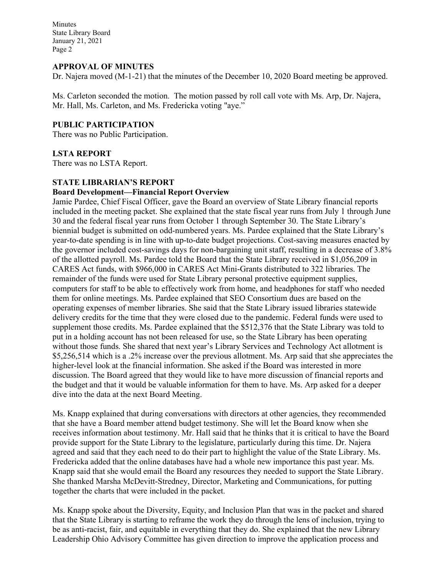Minutes State Library Board January 21, 2021 Page 2

### **APPROVAL OF MINUTES**

Dr. Najera moved (M-1-21) that the minutes of the December 10, 2020 Board meeting be approved.

Ms. Carleton seconded the motion. The motion passed by roll call vote with Ms. Arp, Dr. Najera, Mr. Hall, Ms. Carleton, and Ms. Fredericka voting "aye."

## **PUBLIC PARTICIPATION**

There was no Public Participation.

### **LSTA REPORT**

There was no LSTA Report.

### **STATE LIBRARIAN'S REPORT**

### **Board Development—Financial Report Overview**

Jamie Pardee, Chief Fiscal Officer, gave the Board an overview of State Library financial reports included in the meeting packet. She explained that the state fiscal year runs from July 1 through June 30 and the federal fiscal year runs from October 1 through September 30. The State Library's biennial budget is submitted on odd-numbered years. Ms. Pardee explained that the State Library's year-to-date spending is in line with up-to-date budget projections. Cost-saving measures enacted by the governor included cost-savings days for non-bargaining unit staff, resulting in a decrease of 3.8% of the allotted payroll. Ms. Pardee told the Board that the State Library received in \$1,056,209 in CARES Act funds, with \$966,000 in CARES Act Mini-Grants distributed to 322 libraries. The remainder of the funds were used for State Library personal protective equipment supplies, computers for staff to be able to effectively work from home, and headphones for staff who needed them for online meetings. Ms. Pardee explained that SEO Consortium dues are based on the operating expenses of member libraries. She said that the State Library issued libraries statewide delivery credits for the time that they were closed due to the pandemic. Federal funds were used to supplement those credits. Ms. Pardee explained that the \$512,376 that the State Library was told to put in a holding account has not been released for use, so the State Library has been operating without those funds. She shared that next year's Library Services and Technology Act allotment is \$5,256,514 which is a .2% increase over the previous allotment. Ms. Arp said that she appreciates the higher-level look at the financial information. She asked if the Board was interested in more discussion. The Board agreed that they would like to have more discussion of financial reports and the budget and that it would be valuable information for them to have. Ms. Arp asked for a deeper dive into the data at the next Board Meeting.

Ms. Knapp explained that during conversations with directors at other agencies, they recommended that she have a Board member attend budget testimony. She will let the Board know when she receives information about testimony. Mr. Hall said that he thinks that it is critical to have the Board provide support for the State Library to the legislature, particularly during this time. Dr. Najera agreed and said that they each need to do their part to highlight the value of the State Library. Ms. Fredericka added that the online databases have had a whole new importance this past year. Ms. Knapp said that she would email the Board any resources they needed to support the State Library. She thanked Marsha McDevitt-Stredney, Director, Marketing and Communications, for putting together the charts that were included in the packet.

Ms. Knapp spoke about the Diversity, Equity, and Inclusion Plan that was in the packet and shared that the State Library is starting to reframe the work they do through the lens of inclusion, trying to be as anti-racist, fair, and equitable in everything that they do. She explained that the new Library Leadership Ohio Advisory Committee has given direction to improve the application process and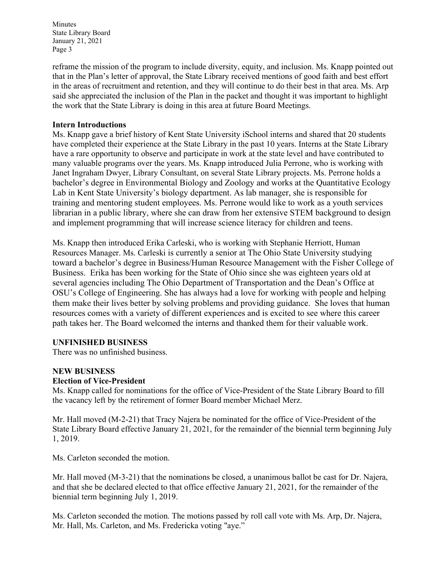Minutes State Library Board January 21, 2021 Page 3

reframe the mission of the program to include diversity, equity, and inclusion. Ms. Knapp pointed out that in the Plan's letter of approval, the State Library received mentions of good faith and best effort in the areas of recruitment and retention, and they will continue to do their best in that area. Ms. Arp said she appreciated the inclusion of the Plan in the packet and thought it was important to highlight the work that the State Library is doing in this area at future Board Meetings.

### **Intern Introductions**

Ms. Knapp gave a brief history of Kent State University iSchool interns and shared that 20 students have completed their experience at the State Library in the past 10 years. Interns at the State Library have a rare opportunity to observe and participate in work at the state level and have contributed to many valuable programs over the years. Ms. Knapp introduced Julia Perrone, who is working with Janet Ingraham Dwyer, Library Consultant, on several State Library projects. Ms. Perrone holds a bachelor's degree in Environmental Biology and Zoology and works at the Quantitative Ecology Lab in Kent State University's biology department. As lab manager, she is responsible for training and mentoring student employees. Ms. Perrone would like to work as a youth services librarian in a public library, where she can draw from her extensive STEM background to design and implement programming that will increase science literacy for children and teens.

Ms. Knapp then introduced Erika Carleski, who is working with Stephanie Herriott, Human Resources Manager. Ms. Carleski is currently a senior at The Ohio State University studying toward a bachelor's degree in Business/Human Resource Management with the Fisher College of Business. Erika has been working for the State of Ohio since she was eighteen years old at several agencies including The Ohio Department of Transportation and the Dean's Office at OSU's College of Engineering. She has always had a love for working with people and helping them make their lives better by solving problems and providing guidance. She loves that human resources comes with a variety of different experiences and is excited to see where this career path takes her. The Board welcomed the interns and thanked them for their valuable work.

## **UNFINISHED BUSINESS**

There was no unfinished business.

## **NEW BUSINESS**

## **Election of Vice-President**

Ms. Knapp called for nominations for the office of Vice-President of the State Library Board to fill the vacancy left by the retirement of former Board member Michael Merz.

Mr. Hall moved (M-2-21) that Tracy Najera be nominated for the office of Vice-President of the State Library Board effective January 21, 2021, for the remainder of the biennial term beginning July 1, 2019.

Ms. Carleton seconded the motion.

Mr. Hall moved (M-3-21) that the nominations be closed, a unanimous ballot be cast for Dr. Najera, and that she be declared elected to that office effective January 21, 2021, for the remainder of the biennial term beginning July 1, 2019.

Ms. Carleton seconded the motion. The motions passed by roll call vote with Ms. Arp, Dr. Najera, Mr. Hall, Ms. Carleton, and Ms. Fredericka voting "aye."